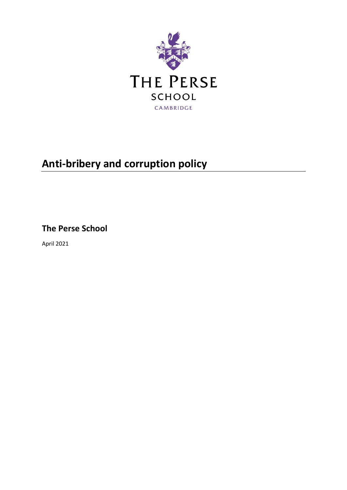

# **Anti-bribery and corruption policy**

**The Perse School**

April 2021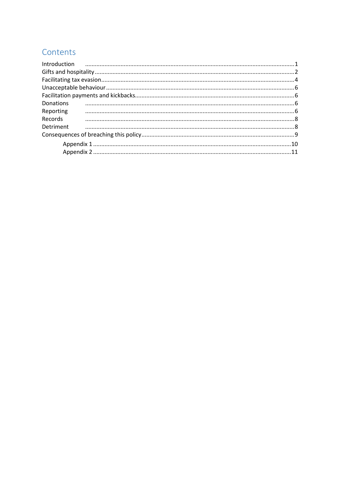# Contents

| $\label{eq:1} \begin{minipage}{0.9\linewidth} \textbf{Introduction} \end{minipage} \begin{minipage}{0.9\linewidth} \textbf{Introduction} \end{minipage}$ |  |
|----------------------------------------------------------------------------------------------------------------------------------------------------------|--|
|                                                                                                                                                          |  |
|                                                                                                                                                          |  |
|                                                                                                                                                          |  |
|                                                                                                                                                          |  |
| Donations                                                                                                                                                |  |
| Reporting                                                                                                                                                |  |
| Records                                                                                                                                                  |  |
| Detriment                                                                                                                                                |  |
|                                                                                                                                                          |  |
|                                                                                                                                                          |  |
|                                                                                                                                                          |  |
|                                                                                                                                                          |  |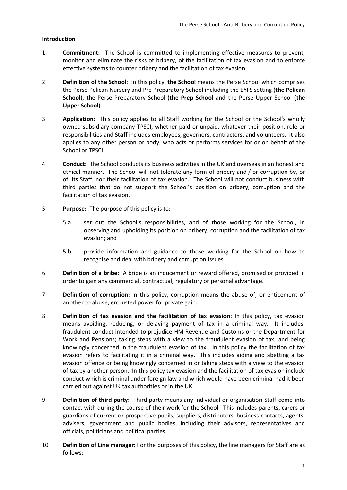# <span id="page-2-0"></span>**Introduction**

- 1 **Commitment:** The School is committed to implementing effective measures to prevent, monitor and eliminate the risks of bribery, of the facilitation of tax evasion and to enforce effective systems to counter bribery and the facilitation of tax evasion.
- 2 **Definition of the School**: In this policy, **the School** means the Perse School which comprises the Perse Pelican Nursery and Pre Preparatory School including the EYFS setting (**the Pelican School**), the Perse Preparatory School (**the Prep School** and the Perse Upper School (**the Upper School**).
- 3 **Application:** This policy applies to all Staff working for the School or the School's wholly owned subsidiary company TPSCI, whether paid or unpaid, whatever their position, role or responsibilities and **Staff** includes employees, governors, contractors, and volunteers. It also applies to any other person or body, who acts or performs services for or on behalf of the School or TPSCI.
- 4 **Conduct:** The School conducts its business activities in the UK and overseas in an honest and ethical manner. The School will not tolerate any form of bribery and / or corruption by, or of, its Staff, nor their facilitation of tax evasion. The School will not conduct business with third parties that do not support the School's position on bribery, corruption and the facilitation of tax evasion.
- 5 **Purpose:** The purpose of this policy is to:
	- 5.a set out the School's responsibilities, and of those working for the School, in observing and upholding its position on bribery, corruption and the facilitation of tax evasion; and
	- 5.b provide information and guidance to those working for the School on how to recognise and deal with bribery and corruption issues.
- 6 **Definition of a bribe:** A bribe is an inducement or reward offered, promised or provided in order to gain any commercial, contractual, regulatory or personal advantage.
- 7 **Definition of corruption:** In this policy, corruption means the abuse of, or enticement of another to abuse, entrusted power for private gain.
- 8 **Definition of tax evasion and the facilitation of tax evasion:** In this policy, tax evasion means avoiding, reducing, or delaying payment of tax in a criminal way. It includes: fraudulent conduct intended to prejudice HM Revenue and Customs or the Department for Work and Pensions; taking steps with a view to the fraudulent evasion of tax; and being knowingly concerned in the fraudulent evasion of tax. In this policy the facilitation of tax evasion refers to facilitating it in a criminal way. This includes aiding and abetting a tax evasion offence or being knowingly concerned in or taking steps with a view to the evasion of tax by another person. In this policy tax evasion and the facilitation of tax evasion include conduct which is criminal under foreign law and which would have been criminal had it been carried out against UK tax authorities or in the UK.
- 9 **Definition of third party:** Third party means any individual or organisation Staff come into contact with during the course of their work for the School. This includes parents, carers or guardians of current or prospective pupils, suppliers, distributors, business contacts, agents, advisers, government and public bodies, including their advisors, representatives and officials, politicians and political parties.
- 10 **Definition of Line manager**: For the purposes of this policy, the line managers for Staff are as follows: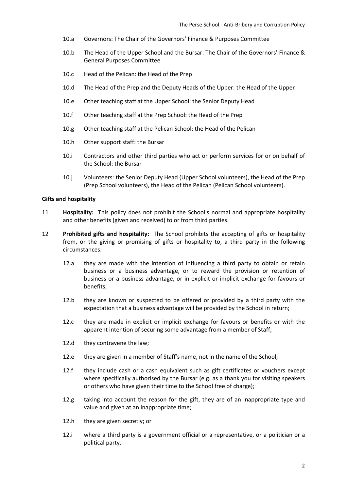- 10.a Governors: The Chair of the Governors' Finance & Purposes Committee
- 10.b The Head of the Upper School and the Bursar: The Chair of the Governors' Finance & General Purposes Committee
- 10.c Head of the Pelican: the Head of the Prep
- 10.d The Head of the Prep and the Deputy Heads of the Upper: the Head of the Upper
- 10.e Other teaching staff at the Upper School: the Senior Deputy Head
- 10.f Other teaching staff at the Prep School: the Head of the Prep
- 10.g Other teaching staff at the Pelican School: the Head of the Pelican
- 10.h Other support staff: the Bursar
- 10.i Contractors and other third parties who act or perform services for or on behalf of the School: the Bursar
- 10.j Volunteers: the Senior Deputy Head (Upper School volunteers), the Head of the Prep (Prep School volunteers), the Head of the Pelican (Pelican School volunteers).

#### <span id="page-3-0"></span>**Gifts and hospitality**

- 11 **Hospitality:** This policy does not prohibit the School's normal and appropriate hospitality and other benefits (given and received) to or from third parties.
- <span id="page-3-1"></span>12 **Prohibited gifts and hospitality:** The School prohibits the accepting of gifts or hospitality from, or the giving or promising of gifts or hospitality to, a third party in the following circumstances:
	- 12.a they are made with the intention of influencing a third party to obtain or retain business or a business advantage, or to reward the provision or retention of business or a business advantage, or in explicit or implicit exchange for favours or benefits;
	- 12.b they are known or suspected to be offered or provided by a third party with the expectation that a business advantage will be provided by the School in return;
	- 12.c they are made in explicit or implicit exchange for favours or benefits or with the apparent intention of securing some advantage from a member of Staff;
	- 12.d they contravene the law;
	- 12.e they are given in a member of Staff's name, not in the name of the School;
	- 12.f they include cash or a cash equivalent such as gift certificates or vouchers except where specifically authorised by the Bursar (e.g. as a thank you for visiting speakers or others who have given their time to the School free of charge);
	- 12.g taking into account the reason for the gift, they are of an inappropriate type and value and given at an inappropriate time;
	- 12.h they are given secretly; or
	- 12.i where a third party is a government official or a representative, or a politician or a political party.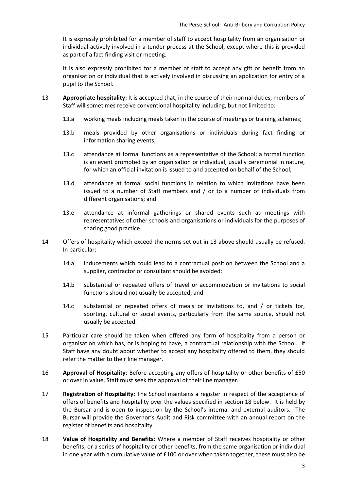It is expressly prohibited for a member of staff to accept hospitality from an organisation or individual actively involved in a tender process at the School, except where this is provided as part of a fact finding visit or meeting.

It is also expressly prohibited for a member of staff to accept any gift or benefit from an organisation or individual that is actively involved in discussing an application for entry of a pupil to the School.

- <span id="page-4-0"></span>13 **Appropriate hospitality:** It is accepted that, in the course of their normal duties, members of Staff will sometimes receive conventional hospitality including, but not limited to:
	- 13.a working meals including meals taken in the course of meetings or training schemes;
	- 13.b meals provided by other organisations or individuals during fact finding or information sharing events;
	- 13.c attendance at formal functions as a representative of the School; a formal function is an event promoted by an organisation or individual, usually ceremonial in nature, for which an official invitation is issued to and accepted on behalf of the School;
	- 13.d attendance at formal social functions in relation to which invitations have been issued to a number of Staff members and / or to a number of individuals from different organisations; and
	- 13.e attendance at informal gatherings or shared events such as meetings with representatives of other schools and organisations or individuals for the purposes of sharing good practice.
- 14 Offers of hospitality which exceed the norms set out in [13](#page-4-0) above should usually be refused. In particular:
	- 14.a inducements which could lead to a contractual position between the School and a supplier, contractor or consultant should be avoided;
	- 14.b substantial or repeated offers of travel or accommodation or invitations to social functions should not usually be accepted; and
	- 14.c substantial or repeated offers of meals or invitations to, and / or tickets for, sporting, cultural or social events, particularly from the same source, should not usually be accepted.
- 15 Particular care should be taken when offered any form of hospitality from a person or organisation which has, or is hoping to have, a contractual relationship with the School. If Staff have any doubt about whether to accept any hospitality offered to them, they should refer the matter to their line manager.
- 16 **Approval of Hospitality**: Before accepting any offers of hospitality or other benefits of £50 or over in value, Staff must seek the approval of their line manager.
- 17 **Registration of Hospitality**: The School maintains a register in respect of the acceptance of offers of benefits and hospitality over the values specified in section [18](#page-4-1) below. It is held by the Bursar and is open to inspection by the School's internal and external auditors. The Bursar will provide the Governor's Audit and Risk committee with an annual report on the register of benefits and hospitality.
- <span id="page-4-1"></span>18 **Value of Hospitality and Benefits**: Where a member of Staff receives hospitality or other benefits, or a series of hospitality or other benefits, from the same organisation or individual in one year with a cumulative value of £100 or over when taken together, these must also be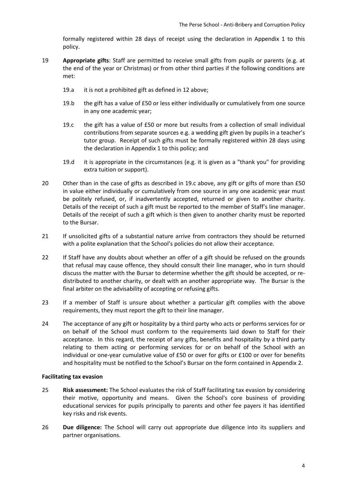formally registered within 28 days of receipt using the declaration in [Appendix 1](#page-11-0) to this policy.

- 19 **Appropriate gifts**: Staff are permitted to receive small gifts from pupils or parents (e.g. at the end of the year or Christmas) or from other third parties if the following conditions are met:
	- 19.a it is not a prohibited gift as defined i[n 12](#page-3-1) above;
	- 19.b the gift has a value of £50 or less either individually or cumulatively from one source in any one academic year;
	- 19.c the gift has a value of £50 or more but results from a collection of small individual contributions from separate sources e.g. a wedding gift given by pupils in a teacher's tutor group. Receipt of such gifts must be formally registered within 28 days using the declaration in Appendix 1 to this policy; and
	- 19.d it is appropriate in the circumstances (e.g. it is given as a "thank you" for providing extra tuition or support).
- <span id="page-5-1"></span>20 Other than in the case of gifts as described in [19.c](#page-5-1) above, any gift or gifts of more than £50 in value either individually or cumulatively from one source in any one academic year must be politely refused, or, if inadvertently accepted, returned or given to another charity. Details of the receipt of such a gift must be reported to the member of Staff's line manager. Details of the receipt of such a gift which is then given to another charity must be reported to the Bursar.
- 21 If unsolicited gifts of a substantial nature arrive from contractors they should be returned with a polite explanation that the School's policies do not allow their acceptance.
- 22 If Staff have any doubts about whether an offer of a gift should be refused on the grounds that refusal may cause offence, they should consult their line manager, who in turn should discuss the matter with the Bursar to determine whether the gift should be accepted, or redistributed to another charity, or dealt with an another appropriate way. The Bursar is the final arbiter on the advisability of accepting or refusing gifts.
- 23 If a member of Staff is unsure about whether a particular gift complies with the above requirements, they must report the gift to their line manager.
- 24 The acceptance of any gift or hospitality by a third party who acts or performs services for or on behalf of the School must conform to the requirements laid down to Staff for their acceptance. In this regard, the receipt of any gifts, benefits and hospitality by a third party relating to them acting or performing services for or on behalf of the School with an individual or one-year cumulative value of £50 or over for gifts or £100 or over for benefits and hospitality must be notified to the School's Bursar on the form contained i[n Appendix 2.](#page-12-0)

# <span id="page-5-0"></span>**Facilitating tax evasion**

- 25 **Risk assessment:** The School evaluates the risk of Staff facilitating tax evasion by considering their motive, opportunity and means. Given the School's core business of providing educational services for pupils principally to parents and other fee payers it has identified key risks and risk events.
- 26 **Due diligence:** The School will carry out appropriate due diligence into its suppliers and partner organisations.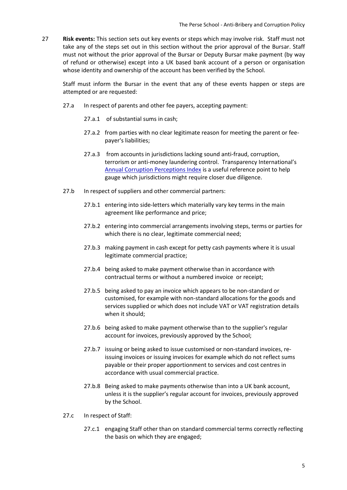<span id="page-6-0"></span>27 **Risk events:** This section sets out key events or steps which may involve risk. Staff must not take any of the steps set out in this section without the prior approval of the Bursar. Staff must not without the prior approval of the Bursar or Deputy Bursar make payment (by way of refund or otherwise) except into a UK based bank account of a person or organisation whose identity and ownership of the account has been verified by the School.

Staff must inform the Bursar in the event that any of these events happen or steps are attempted or are requested:

- 27.a In respect of parents and other fee payers, accepting payment:
	- 27.a.1 of substantial sums in cash;
	- 27.a.2 from parties with no clear legitimate reason for meeting the parent or feepayer's liabilities;
	- 27.a.3 from accounts in jurisdictions lacking sound anti-fraud, corruption, terrorism or anti-money laundering control. Transparency International's [Annual Corruption Perceptions Index](https://www.transparency.org/en/cpi/2019) is a useful reference point to help gauge which jurisdictions might require closer due diligence.
- 27.b In respect of suppliers and other commercial partners:
	- 27.b.1 entering into side-letters which materially vary key terms in the main agreement like performance and price;
	- 27.b.2 entering into commercial arrangements involving steps, terms or parties for which there is no clear, legitimate commercial need;
	- 27.b.3 making payment in cash except for petty cash payments where it is usual legitimate commercial practice;
	- 27.b.4 being asked to make payment otherwise than in accordance with contractual terms or without a numbered invoice or receipt;
	- 27.b.5 being asked to pay an invoice which appears to be non-standard or customised, for example with non-standard allocations for the goods and services supplied or which does not include VAT or VAT registration details when it should;
	- 27.b.6 being asked to make payment otherwise than to the supplier's regular account for invoices, previously approved by the School;
	- 27.b.7 issuing or being asked to issue customised or non-standard invoices, reissuing invoices or issuing invoices for example which do not reflect sums payable or their proper apportionment to services and cost centres in accordance with usual commercial practice.
	- 27.b.8 Being asked to make payments otherwise than into a UK bank account, unless it is the supplier's regular account for invoices, previously approved by the School.
- 27.c In respect of Staff:
	- 27.c.1 engaging Staff other than on standard commercial terms correctly reflecting the basis on which they are engaged;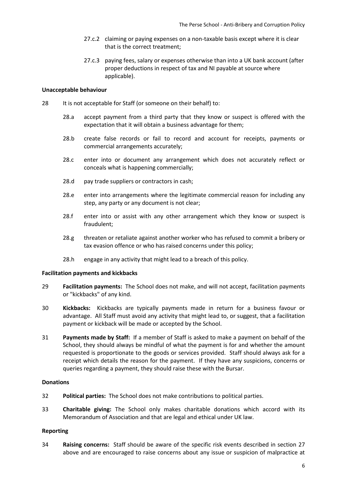- 27.c.2 claiming or paying expenses on a non-taxable basis except where it is clear that is the correct treatment;
- 27.c.3 paying fees, salary or expenses otherwise than into a UK bank account (after proper deductions in respect of tax and NI payable at source where applicable).

#### <span id="page-7-0"></span>**Unacceptable behaviour**

- 28 It is not acceptable for Staff (or someone on their behalf) to:
	- 28.a accept payment from a third party that they know or suspect is offered with the expectation that it will obtain a business advantage for them;
	- 28.b create false records or fail to record and account for receipts, payments or commercial arrangements accurately;
	- 28.c enter into or document any arrangement which does not accurately reflect or conceals what is happening commercially;
	- 28.d pay trade suppliers or contractors in cash;
	- 28.e enter into arrangements where the legitimate commercial reason for including any step, any party or any document is not clear;
	- 28.f enter into or assist with any other arrangement which they know or suspect is fraudulent;
	- 28.g threaten or retaliate against another worker who has refused to commit a bribery or tax evasion offence or who has raised concerns under this policy;
	- 28.h engage in any activity that might lead to a breach of this policy.

#### <span id="page-7-1"></span>**Facilitation payments and kickbacks**

- 29 **Facilitation payments:** The School does not make, and will not accept, facilitation payments or "kickbacks" of any kind.
- 30 **Kickbacks:** Kickbacks are typically payments made in return for a business favour or advantage. All Staff must avoid any activity that might lead to, or suggest, that a facilitation payment or kickback will be made or accepted by the School.
- 31 **Payments made by Staff:** If a member of Staff is asked to make a payment on behalf of the School, they should always be mindful of what the payment is for and whether the amount requested is proportionate to the goods or services provided. Staff should always ask for a receipt which details the reason for the payment. If they have any suspicions, concerns or queries regarding a payment, they should raise these with the Bursar.

#### <span id="page-7-2"></span>**Donations**

- 32 **Political parties:** The School does not make contributions to political parties.
- 33 **Charitable giving:** The School only makes charitable donations which accord with its Memorandum of Association and that are legal and ethical under UK law.

# <span id="page-7-3"></span>**Reporting**

34 **Raising concerns:** Staff should be aware of the specific risk events described in section [27](#page-6-0) above and are encouraged to raise concerns about any issue or suspicion of malpractice at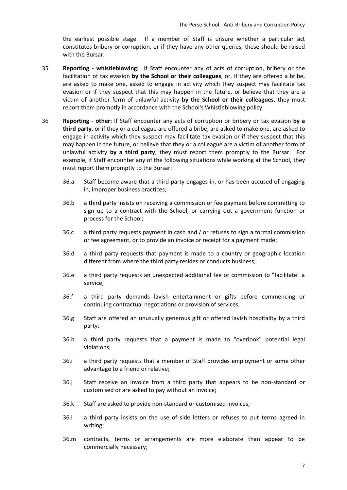the earliest possible stage. If a member of Staff is unsure whether a particular act constitutes bribery or corruption, or if they have any other queries, these should be raised with the Bursar.

- 35 **Reporting - whistleblowing:** If Staff encounter any of acts of corruption, bribery or the facilitation of tax evasion **by the School or their colleagues**, or, if they are offered a bribe, are asked to make one, asked to engage in activity which they suspect may facilitate tax evasion or if they suspect that this may happen in the future, or believe that they are a victim of another form of unlawful activity **by the School or their colleagues**, they must report them promptly in accordance with the School's Whistleblowing policy.
- 36 **Reporting - other:** If Staff encounter any acts of corruption or bribery or tax evasion **by a third party**, or if they or a colleague are offered a bribe, are asked to make one, are asked to engage in activity which they suspect may facilitate tax evasion or if they suspect that this may happen in the future, or believe that they or a colleague are a victim of another form of unlawful activity **by a third party**, they must report them promptly to the Bursar. For example, if Staff encounter any of the following situations while working at the School, they must report them promptly to the Bursar:
	- 36.a Staff become aware that a third party engages in, or has been accused of engaging in, improper business practices;
	- 36.b a third party insists on receiving a commission or fee payment before committing to sign up to a contract with the School, or carrying out a government function or process for the School;
	- 36.c a third party requests payment in cash and / or refuses to sign a formal commission or fee agreement, or to provide an invoice or receipt for a payment made;
	- 36.d a third party requests that payment is made to a country or geographic location different from where the third party resides or conducts business;
	- 36.e a third party requests an unexpected additional fee or commission to "facilitate" a service;
	- 36.f a third party demands lavish entertainment or gifts before commencing or continuing contractual negotiations or provision of services;
	- 36.g Staff are offered an unusually generous gift or offered lavish hospitality by a third party;
	- 36.h a third party requests that a payment is made to "overlook" potential legal violations;
	- 36.i a third party requests that a member of Staff provides employment or some other advantage to a friend or relative;
	- 36.j Staff receive an invoice from a third party that appears to be non-standard or customised or are asked to pay without an invoice;
	- 36.k Staff are asked to provide non-standard or customised invoices;
	- 36.l a third party insists on the use of side letters or refuses to put terms agreed in writing;
	- 36.m contracts, terms or arrangements are more elaborate than appear to be commercially necessary;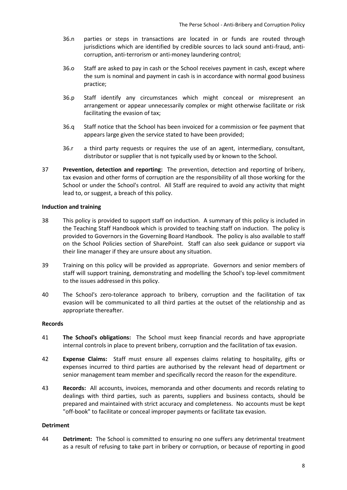- 36.n parties or steps in transactions are located in or funds are routed through jurisdictions which are identified by credible sources to lack sound anti-fraud, anticorruption, anti-terrorism or anti-money laundering control;
- 36.o Staff are asked to pay in cash or the School receives payment in cash, except where the sum is nominal and payment in cash is in accordance with normal good business practice;
- 36.p Staff identify any circumstances which might conceal or misrepresent an arrangement or appear unnecessarily complex or might otherwise facilitate or risk facilitating the evasion of tax;
- 36.q Staff notice that the School has been invoiced for a commission or fee payment that appears large given the service stated to have been provided;
- 36.r a third party requests or requires the use of an agent, intermediary, consultant, distributor or supplier that is not typically used by or known to the School.
- 37 **Prevention, detection and reporting:** The prevention, detection and reporting of bribery, tax evasion and other forms of corruption are the responsibility of all those working for the School or under the School's control. All Staff are required to avoid any activity that might lead to, or suggest, a breach of this policy.

#### **Induction and training**

- 38 This policy is provided to support staff on induction. A summary of this policy is included in the Teaching Staff Handbook which is provided to teaching staff on induction. The policy is provided to Governors in the Governing Board Handbook. The policy is also available to staff on the School Policies section of SharePoint. Staff can also seek guidance or support via their line manager if they are unsure about any situation.
- 39 Training on this policy will be provided as appropriate. Governors and senior members of staff will support training, demonstrating and modelling the School's top-level commitment to the issues addressed in this policy.
- 40 The School's zero-tolerance approach to bribery, corruption and the facilitation of tax evasion will be communicated to all third parties at the outset of the relationship and as appropriate thereafter.

#### <span id="page-9-0"></span>**Records**

- 41 **The School's obligations:** The School must keep financial records and have appropriate internal controls in place to prevent bribery, corruption and the facilitation of tax evasion.
- 42 **Expense Claims:** Staff must ensure all expenses claims relating to hospitality, gifts or expenses incurred to third parties are authorised by the relevant head of department or senior management team member and specifically record the reason for the expenditure.
- 43 **Records:** All accounts, invoices, memoranda and other documents and records relating to dealings with third parties, such as parents, suppliers and business contacts, should be prepared and maintained with strict accuracy and completeness. No accounts must be kept "off-book" to facilitate or conceal improper payments or facilitate tax evasion.

# <span id="page-9-1"></span>**Detriment**

44 **Detriment:** The School is committed to ensuring no one suffers any detrimental treatment as a result of refusing to take part in bribery or corruption, or because of reporting in good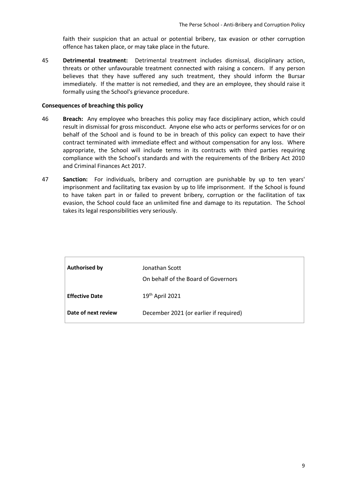faith their suspicion that an actual or potential bribery, tax evasion or other corruption offence has taken place, or may take place in the future.

45 **Detrimental treatment:** Detrimental treatment includes dismissal, disciplinary action, threats or other unfavourable treatment connected with raising a concern. If any person believes that they have suffered any such treatment, they should inform the Bursar immediately. If the matter is not remedied, and they are an employee, they should raise it formally using the School's grievance procedure.

# <span id="page-10-0"></span>**Consequences of breaching this policy**

- 46 **Breach:** Any employee who breaches this policy may face disciplinary action, which could result in dismissal for gross misconduct. Anyone else who acts or performs services for or on behalf of the School and is found to be in breach of this policy can expect to have their contract terminated with immediate effect and without compensation for any loss. Where appropriate, the School will include terms in its contracts with third parties requiring compliance with the School's standards and with the requirements of the Bribery Act 2010 and Criminal Finances Act 2017.
- 47 **Sanction:** For individuals, bribery and corruption are punishable by up to ten years' imprisonment and facilitating tax evasion by up to life imprisonment. If the School is found to have taken part in or failed to prevent bribery, corruption or the facilitation of tax evasion, the School could face an unlimited fine and damage to its reputation. The School takes its legal responsibilities very seriously.

| Authorised by         | Jonathan Scott<br>On behalf of the Board of Governors |
|-----------------------|-------------------------------------------------------|
| <b>Effective Date</b> | 19 <sup>th</sup> April 2021                           |
| Date of next review   | December 2021 (or earlier if required)                |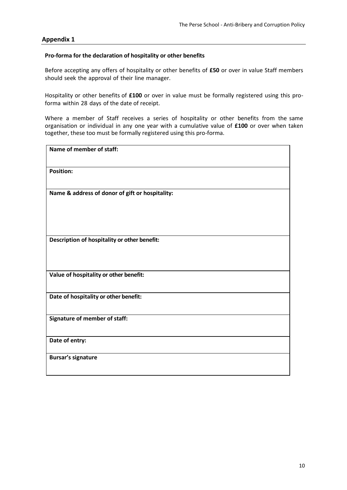# <span id="page-11-0"></span>**Appendix 1**

#### **Pro-forma for the declaration of hospitality or other benefits**

Before accepting any offers of hospitality or other benefits of **£50** or over in value Staff members should seek the approval of their line manager.

Hospitality or other benefits of **£100** or over in value must be formally registered using this proforma within 28 days of the date of receipt.

Where a member of Staff receives a series of hospitality or other benefits from the same organisation or individual in any one year with a cumulative value of **£100** or over when taken together, these too must be formally registered using this pro-forma.

| Name of member of staff:                        |
|-------------------------------------------------|
| <b>Position:</b>                                |
| Name & address of donor of gift or hospitality: |
| Description of hospitality or other benefit:    |
| Value of hospitality or other benefit:          |
| Date of hospitality or other benefit:           |
| Signature of member of staff:                   |
| Date of entry:                                  |
| <b>Bursar's signature</b>                       |